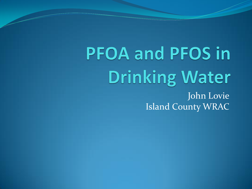**PFOA and PFOS in Drinking Water** John Lovie Island County WRAC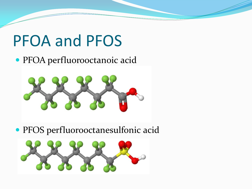## PFOA and PFOS

#### PFOA perfluorooctanoic acid



PFOS perfluorooctanesulfonic acid

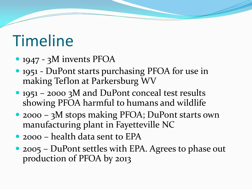# Timeline

- 1947 3M invents PFOA
- 1951 DuPont starts purchasing PFOA for use in making Teflon at Parkersburg WV
- 1951 2000 3M and DuPont conceal test results showing PFOA harmful to humans and wildlife
- 2000 3M stops making PFOA; DuPont starts own manufacturing plant in Fayetteville NC
- 2000 health data sent to EPA
- 2005 DuPont settles with EPA. Agrees to phase out production of PFOA by 2013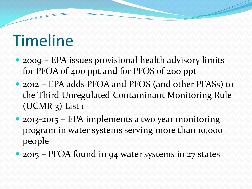# Timeline

- 2009 EPA issues provisional health advisory limits for PFOA of 400 ppt and for PFOS of 200 ppt
- 2012 EPA adds PFOA and PFOS (and other PFASs) to the Third Unregulated Contaminant Monitoring Rule (UCMR 3) List 1
- 2013-2015 EPA implements a two year monitoring program in water systems serving more than 10,000 people
- 2015 PFOA found in 94 water systems in 27 states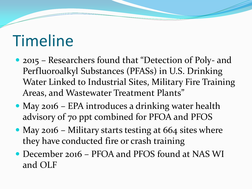# Timeline

- 2015 Researchers found that "Detection of Poly- and Perfluoroalkyl Substances (PFASs) in U.S. Drinking Water Linked to Industrial Sites, Military Fire Training Areas, and Wastewater Treatment Plants"
- May 2016 EPA introduces a drinking water health advisory of 70 ppt combined for PFOA and PFOS
- May 2016 Military starts testing at 664 sites where they have conducted fire or crash training
- December 2016 PFOA and PFOS found at NAS WI and OLF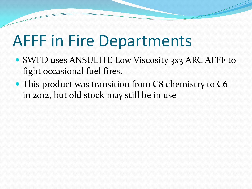## AFFF in Fire Departments

- SWFD uses ANSULITE Low Viscosity 3x3 ARC AFFF to fight occasional fuel fires.
- This product was transition from C8 chemistry to C6 in 2012, but old stock may still be in use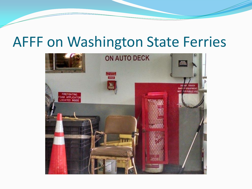#### AFFF on Washington State Ferries

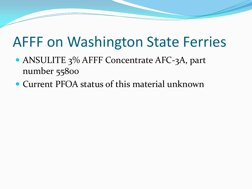### AFFF on Washington State Ferries

- ANSULITE 3% AFFF Concentrate AFC-3A, part number 55800
- Current PFOA status of this material unknown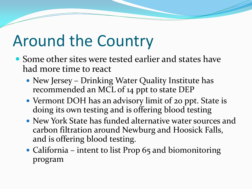## Around the Country

- Some other sites were tested earlier and states have had more time to react
	- New Jersey Drinking Water Quality Institute has recommended an MCL of 14 ppt to state DEP
	- Vermont DOH has an advisory limit of 20 ppt. State is doing its own testing and is offering blood testing
	- New York State has funded alternative water sources and carbon filtration around Newburg and Hoosick Falls, and is offering blood testing.
	- California intent to list Prop 65 and biomonitoring program